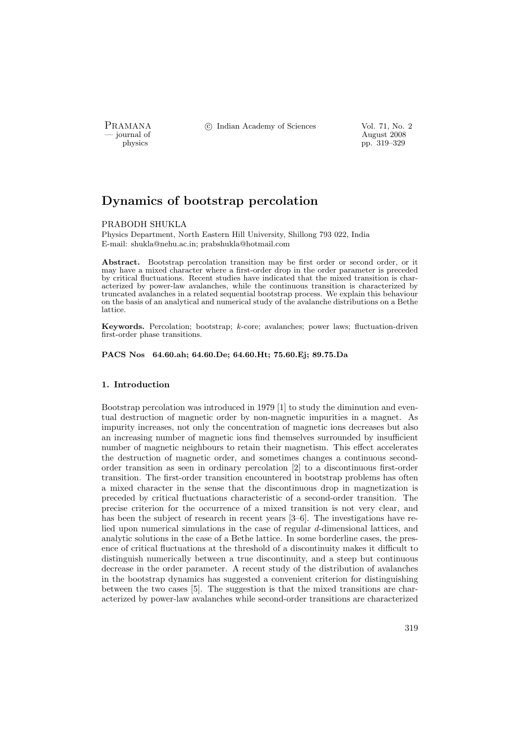PRAMANA <sup>C</sup> Indian Academy of Sciences Vol. 71, No. 2

physics and the contract of the contract of the contract  $\frac{1}{2008}$  pp. 319–329 pp. 319–329

# Dynamics of bootstrap percolation

# PRABODH SHUKLA

Physics Department, North Eastern Hill University, Shillong 793 022, India E-mail: shukla@nehu.ac.in; prabshukla@hotmail.com

Abstract. Bootstrap percolation transition may be first order or second order, or it may have a mixed character where a first-order drop in the order parameter is preceded by critical fluctuations. Recent studies have indicated that the mixed transition is characterized by power-law avalanches, while the continuous transition is characterized by truncated avalanches in a related sequential bootstrap process. We explain this behaviour on the basis of an analytical and numerical study of the avalanche distributions on a Bethe lattice.

Keywords. Percolation; bootstrap; k-core; avalanches; power laws; fluctuation-driven first-order phase transitions.

# PACS Nos 64.60.ah; 64.60.De; 64.60.Ht; 75.60.Ej; 89.75.Da

#### 1. Introduction

Bootstrap percolation was introduced in 1979 [1] to study the diminution and eventual destruction of magnetic order by non-magnetic impurities in a magnet. As impurity increases, not only the concentration of magnetic ions decreases but also an increasing number of magnetic ions find themselves surrounded by insufficient number of magnetic neighbours to retain their magnetism. This effect accelerates the destruction of magnetic order, and sometimes changes a continuous secondorder transition as seen in ordinary percolation [2] to a discontinuous first-order transition. The first-order transition encountered in bootstrap problems has often a mixed character in the sense that the discontinuous drop in magnetization is preceded by critical fluctuations characteristic of a second-order transition. The precise criterion for the occurrence of a mixed transition is not very clear, and has been the subject of research in recent years [3–6]. The investigations have relied upon numerical simulations in the case of regular d-dimensional lattices, and analytic solutions in the case of a Bethe lattice. In some borderline cases, the presence of critical fluctuations at the threshold of a discontinuity makes it difficult to distinguish numerically between a true discontinuity, and a steep but continuous decrease in the order parameter. A recent study of the distribution of avalanches in the bootstrap dynamics has suggested a convenient criterion for distinguishing between the two cases [5]. The suggestion is that the mixed transitions are characterized by power-law avalanches while second-order transitions are characterized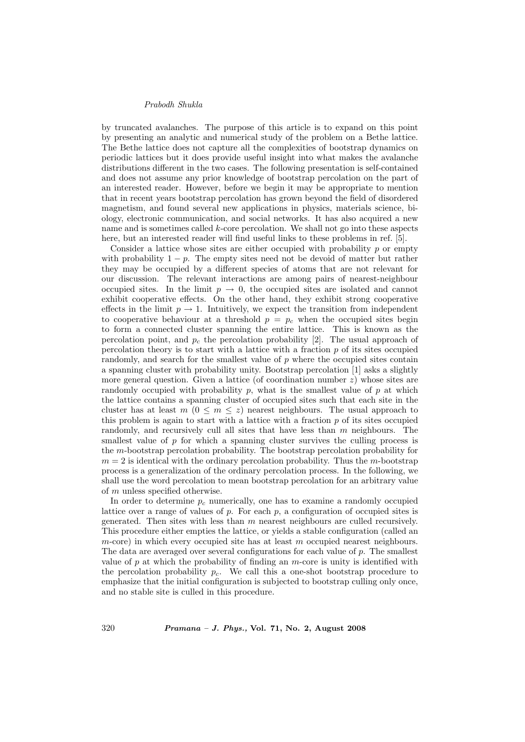by truncated avalanches. The purpose of this article is to expand on this point by presenting an analytic and numerical study of the problem on a Bethe lattice. The Bethe lattice does not capture all the complexities of bootstrap dynamics on periodic lattices but it does provide useful insight into what makes the avalanche distributions different in the two cases. The following presentation is self-contained and does not assume any prior knowledge of bootstrap percolation on the part of an interested reader. However, before we begin it may be appropriate to mention that in recent years bootstrap percolation has grown beyond the field of disordered magnetism, and found several new applications in physics, materials science, biology, electronic communication, and social networks. It has also acquired a new name and is sometimes called k-core percolation. We shall not go into these aspects here, but an interested reader will find useful links to these problems in ref. [5].

Consider a lattice whose sites are either occupied with probability  $p$  or empty with probability  $1 - p$ . The empty sites need not be devoid of matter but rather they may be occupied by a different species of atoms that are not relevant for our discussion. The relevant interactions are among pairs of nearest-neighbour occupied sites. In the limit  $p \to 0$ , the occupied sites are isolated and cannot exhibit cooperative effects. On the other hand, they exhibit strong cooperative effects in the limit  $p \to 1$ . Intuitively, we expect the transition from independent to cooperative behaviour at a threshold  $p = p_c$  when the occupied sites begin to form a connected cluster spanning the entire lattice. This is known as the percolation point, and  $p_c$  the percolation probability [2]. The usual approach of percolation theory is to start with a lattice with a fraction  $p$  of its sites occupied randomly, and search for the smallest value of  $p$  where the occupied sites contain a spanning cluster with probability unity. Bootstrap percolation [1] asks a slightly more general question. Given a lattice (of coordination number  $z$ ) whose sites are randomly occupied with probability  $p$ , what is the smallest value of  $p$  at which the lattice contains a spanning cluster of occupied sites such that each site in the cluster has at least  $m (0 \le m \le z)$  nearest neighbours. The usual approach to this problem is again to start with a lattice with a fraction  $p$  of its sites occupied randomly, and recursively cull all sites that have less than m neighbours. The smallest value of p for which a spanning cluster survives the culling process is the m-bootstrap percolation probability. The bootstrap percolation probability for  $m = 2$  is identical with the ordinary percolation probability. Thus the m-bootstrap process is a generalization of the ordinary percolation process. In the following, we shall use the word percolation to mean bootstrap percolation for an arbitrary value of m unless specified otherwise.

In order to determine  $p_c$  numerically, one has to examine a randomly occupied lattice over a range of values of  $p$ . For each  $p$ , a configuration of occupied sites is generated. Then sites with less than  $m$  nearest neighbours are culled recursively. This procedure either empties the lattice, or yields a stable configuration (called an  $m$ -core) in which every occupied site has at least m occupied nearest neighbours. The data are averaged over several configurations for each value of  $p$ . The smallest value of  $p$  at which the probability of finding an  $m$ -core is unity is identified with the percolation probability  $p_c$ . We call this a one-shot bootstrap procedure to emphasize that the initial configuration is subjected to bootstrap culling only once, and no stable site is culled in this procedure.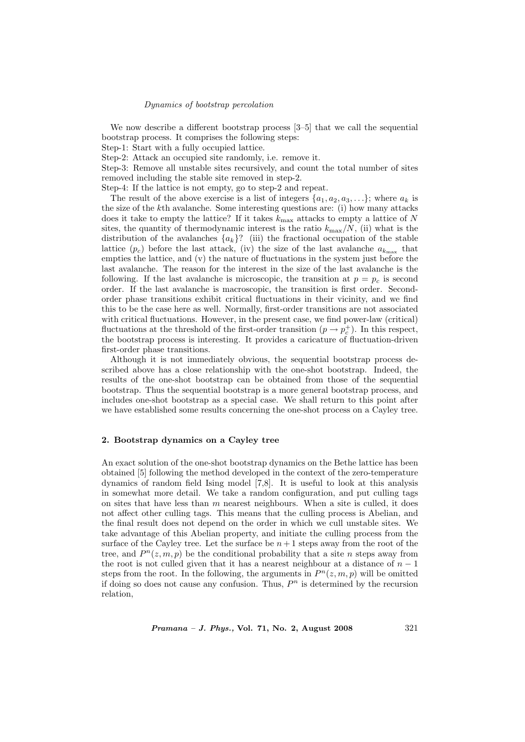We now describe a different bootstrap process  $[3-5]$  that we call the sequential bootstrap process. It comprises the following steps:

- Step-1: Start with a fully occupied lattice.
- Step-2: Attack an occupied site randomly, i.e. remove it.

Step-3: Remove all unstable sites recursively, and count the total number of sites removed including the stable site removed in step-2.

Step-4: If the lattice is not empty, go to step-2 and repeat.

The result of the above exercise is a list of integers  $\{a_1, a_2, a_3, \ldots\}$ ; where  $a_k$  is the size of the kth avalanche. Some interesting questions are: (i) how many attacks does it take to empty the lattice? If it takes  $k_{\text{max}}$  attacks to empty a lattice of N sites, the quantity of thermodynamic interest is the ratio  $k_{\text{max}}/N$ , (ii) what is the distribution of the avalanches  ${a_k}$ ? (iii) the fractional occupation of the stable lattice  $(p_c)$  before the last attack, (iv) the size of the last avalanche  $a_{k_{\text{max}}}$  that empties the lattice, and (v) the nature of fluctuations in the system just before the last avalanche. The reason for the interest in the size of the last avalanche is the following. If the last avalanche is microscopic, the transition at  $p = p_c$  is second order. If the last avalanche is macroscopic, the transition is first order. Secondorder phase transitions exhibit critical fluctuations in their vicinity, and we find this to be the case here as well. Normally, first-order transitions are not associated with critical fluctuations. However, in the present case, we find power-law (critical) fluctuations at the threshold of the first-order transition  $(p \to p_c^+)$ . In this respect, the bootstrap process is interesting. It provides a caricature of fluctuation-driven first-order phase transitions.

Although it is not immediately obvious, the sequential bootstrap process described above has a close relationship with the one-shot bootstrap. Indeed, the results of the one-shot bootstrap can be obtained from those of the sequential bootstrap. Thus the sequential bootstrap is a more general bootstrap process, and includes one-shot bootstrap as a special case. We shall return to this point after we have established some results concerning the one-shot process on a Cayley tree.

# 2. Bootstrap dynamics on a Cayley tree

An exact solution of the one-shot bootstrap dynamics on the Bethe lattice has been obtained [5] following the method developed in the context of the zero-temperature dynamics of random field Ising model [7,8]. It is useful to look at this analysis in somewhat more detail. We take a random configuration, and put culling tags on sites that have less than  $m$  nearest neighbours. When a site is culled, it does not affect other culling tags. This means that the culling process is Abelian, and the final result does not depend on the order in which we cull unstable sites. We take advantage of this Abelian property, and initiate the culling process from the surface of the Cayley tree. Let the surface be  $n+1$  steps away from the root of the tree, and  $P^{n}(z, m, p)$  be the conditional probability that a site n steps away from the root is not culled given that it has a nearest neighbour at a distance of  $n-1$ steps from the root. In the following, the arguments in  $P<sup>n</sup>(z, m, p)$  will be omitted if doing so does not cause any confusion. Thus,  $P<sup>n</sup>$  is determined by the recursion relation,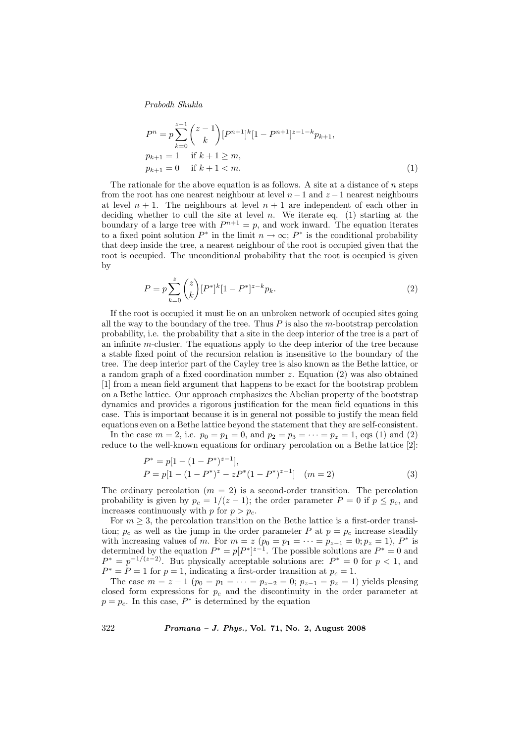$$
P^{n} = p \sum_{k=0}^{z-1} {z-1 \choose k} [P^{n+1}]^{k} [1 - P^{n+1}]^{z-1-k} p_{k+1},
$$
  
\n
$$
p_{k+1} = 1 \quad \text{if } k+1 \geq m,
$$
  
\n
$$
p_{k+1} = 0 \quad \text{if } k+1 < m.
$$
\n(1)

The rationale for the above equation is as follows. A site at a distance of  $n$  steps from the root has one nearest neighbour at level  $n-1$  and  $z-1$  nearest neighbours at level  $n + 1$ . The neighbours at level  $n + 1$  are independent of each other in deciding whether to cull the site at level  $n$ . We iterate eq. (1) starting at the boundary of a large tree with  $P^{n+1} = p$ , and work inward. The equation iterates to a fixed point solution  $P^*$  in the limit  $n \to \infty$ ;  $P^*$  is the conditional probability that deep inside the tree, a nearest neighbour of the root is occupied given that the root is occupied. The unconditional probability that the root is occupied is given by

$$
P = p \sum_{k=0}^{z} \binom{z}{k} [P^*]^k [1 - P^*]^{z-k} p_k.
$$
\n(2)

If the root is occupied it must lie on an unbroken network of occupied sites going all the way to the boundary of the tree. Thus  $P$  is also the m-bootstrap percolation probability, i.e. the probability that a site in the deep interior of the tree is a part of an infinite m-cluster. The equations apply to the deep interior of the tree because a stable fixed point of the recursion relation is insensitive to the boundary of the tree. The deep interior part of the Cayley tree is also known as the Bethe lattice, or a random graph of a fixed coordination number z. Equation (2) was also obtained [1] from a mean field argument that happens to be exact for the bootstrap problem on a Bethe lattice. Our approach emphasizes the Abelian property of the bootstrap dynamics and provides a rigorous justification for the mean field equations in this case. This is important because it is in general not possible to justify the mean field equations even on a Bethe lattice beyond the statement that they are self-consistent.

In the case  $m = 2$ , i.e.  $p_0 = p_1 = 0$ , and  $p_2 = p_3 = \cdots = p_z = 1$ , eqs (1) and (2) reduce to the well-known equations for ordinary percolation on a Bethe lattice [2]:

$$
P^* = p[1 - (1 - P^*)^{z-1}],
$$
  
\n
$$
P = p[1 - (1 - P^*)^z - zP^*(1 - P^*)^{z-1}] \quad (m = 2)
$$
\n(3)

The ordinary percolation  $(m = 2)$  is a second-order transition. The percolation probability is given by  $p_c = 1/(z-1)$ ; the order parameter  $P = 0$  if  $p \leq p_c$ , and increases continuously with p for  $p > p_c$ .

For  $m \geq 3$ , the percolation transition on the Bethe lattice is a first-order transition;  $p_c$  as well as the jump in the order parameter P at  $p = p_c$  increase steadily with increasing values of m. For  $m = z$   $(p_0 = p_1 = \cdots = p_{z-1} = 0; p_z = 1)$ ,  $P^*$  is determined by the equation  $P^* = p[P^*]^{z-1}$ . The possible solutions are  $P^* = 0$  and  $P^* = p^{-1/(z-2)}$ . But physically acceptable solutions are:  $P^* = 0$  for  $p < 1$ , and  $P^* = P = 1$  for  $p = 1$ , indicating a first-order transition at  $p_c = 1$ .

The case  $m = z - 1$   $(p_0 = p_1 = \cdots = p_{z-2} = 0; p_{z-1} = p_z = 1)$  yields pleasing closed form expressions for  $p_c$  and the discontinuity in the order parameter at  $p = p_c$ . In this case,  $P^*$  is determined by the equation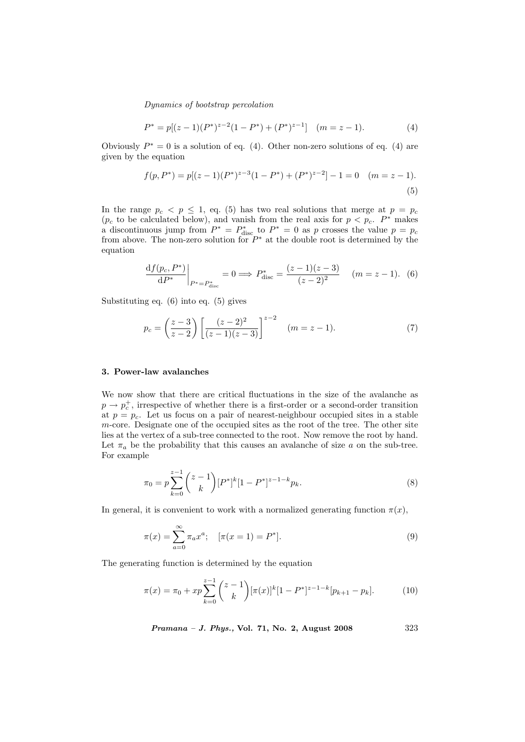$$
P^* = p[(z-1)(P^*)^{z-2}(1-P^*) + (P^*)^{z-1}] \quad (m = z - 1).
$$
 (4)

Obviously  $P^* = 0$  is a solution of eq. (4). Other non-zero solutions of eq. (4) are given by the equation

$$
f(p, P^*) = p[(z-1)(P^*)^{z-3}(1-P^*) + (P^*)^{z-2}] - 1 = 0 \quad (m = z - 1).
$$
\n(5)

In the range  $p_c < p \le 1$ , eq. (5) has two real solutions that merge at  $p = p_c$  $(p_c$  to be calculated below), and vanish from the real axis for  $p < p_c$ .  $P^*$  makes a discontinuous jump from  $P^* = P_{\text{disc}}^*$  to  $P^* = 0$  as p crosses the value  $p = p_c$ from above. The non-zero solution for  $P^*$  at the double root is determined by the equation

$$
\frac{df(p_c, P^*)}{dP^*}\bigg|_{P^*=P^*_{\text{disc}}} = 0 \Longrightarrow P^*_{\text{disc}} = \frac{(z-1)(z-3)}{(z-2)^2} \quad (m = z-1). \tag{6}
$$

Substituting eq. (6) into eq. (5) gives

$$
p_c = \left(\frac{z-3}{z-2}\right) \left[\frac{(z-2)^2}{(z-1)(z-3)}\right]^{z-2} \quad (m = z-1).
$$
 (7)

# 3. Power-law avalanches

We now show that there are critical fluctuations in the size of the avalanche as  $p \to p_c^+$ , irrespective of whether there is a first-order or a second-order transition at  $p = p_c$ . Let us focus on a pair of nearest-neighbour occupied sites in a stable m-core. Designate one of the occupied sites as the root of the tree. The other site lies at the vertex of a sub-tree connected to the root. Now remove the root by hand. Let  $\pi_a$  be the probability that this causes an avalanche of size a on the sub-tree. For example

$$
\pi_0 = p \sum_{k=0}^{z-1} {z-1 \choose k} [P^*]^k [1 - P^*]^{z-1-k} p_k.
$$
\n(8)

In general, it is convenient to work with a normalized generating function  $\pi(x)$ ,

$$
\pi(x) = \sum_{a=0}^{\infty} \pi_a x^a; \quad [\pi(x=1) = P^*].
$$
 (9)

The generating function is determined by the equation

$$
\pi(x) = \pi_0 + xp \sum_{k=0}^{z-1} {z-1 \choose k} [\pi(x)]^k [1-P^*]^{z-1-k} [p_{k+1} - p_k].
$$
 (10)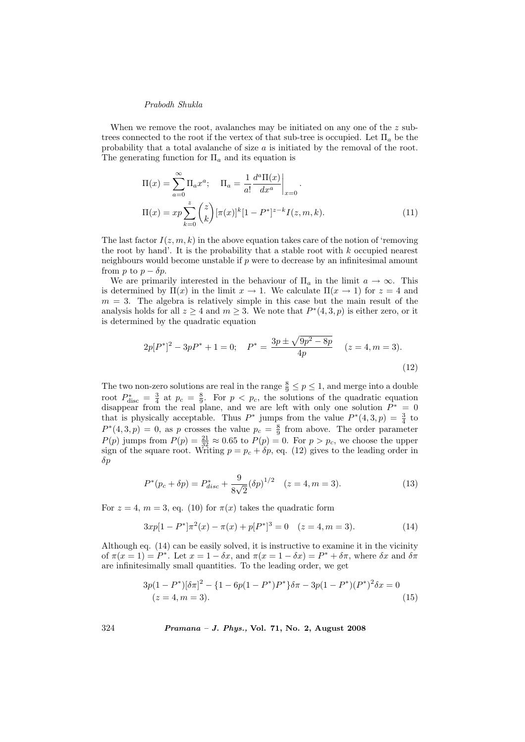When we remove the root, avalanches may be initiated on any one of the  $z$  subtrees connected to the root if the vertex of that sub-tree is occupied. Let  $\Pi_a$  be the probability that a total avalanche of size a is initiated by the removal of the root. The generating function for  $\Pi_a$  and its equation is

$$
\Pi(x) = \sum_{a=0}^{\infty} \Pi_a x^a; \quad \Pi_a = \frac{1}{a!} \frac{d^a \Pi(x)}{dx^a} \Big|_{x=0}.
$$
  

$$
\Pi(x) = xp \sum_{k=0}^{z} {z \choose k} [\pi(x)]^k [1 - P^*]^{z-k} I(z, m, k).
$$
 (11)

The last factor  $I(z, m, k)$  in the above equation takes care of the notion of 'removing the root by hand'. It is the probability that a stable root with  $k$  occupied nearest neighbours would become unstable if  $p$  were to decrease by an infinitesimal amount from p to  $p - \delta p$ .

We are primarily interested in the behaviour of  $\Pi_a$  in the limit  $a \to \infty$ . This is determined by  $\Pi(x)$  in the limit  $x \to 1$ . We calculate  $\Pi(x \to 1)$  for  $z = 4$  and  $m = 3$ . The algebra is relatively simple in this case but the main result of the analysis holds for all  $z \geq 4$  and  $m \geq 3$ . We note that  $P^*(4,3,p)$  is either zero, or it is determined by the quadratic equation

$$
2p[P^*]2 - 3pP^* + 1 = 0; \quad P^* = \frac{3p \pm \sqrt{9p^2 - 8p}}{4p} \quad (z = 4, m = 3).
$$
\n(12)

The two non-zero solutions are real in the range  $\frac{8}{9} \le p \le 1$ , and merge into a double root  $P_{\text{disc}}^* = \frac{3}{4}$  at  $p_c = \frac{8}{9}$ . For  $p < p_c$ , the solutions of the quadratic equation disappear from the real plane, and we are left with only one solution  $P^* = 0$ that is physically acceptable. Thus  $P^*$  jumps from the value  $P^*(4,3,p) = \frac{3}{4}$  to  $P^*(4,3,p) = 0$ , as p crosses the value  $p_c = \frac{8}{9}$  from above. The order parameter  $P(p)$  jumps from  $P(p) = \frac{21}{32} \approx 0.65$  to  $P(p) = 0$ . For  $p > p_c$ , we choose the upper sign of the square root. Writing  $p = p_c + \delta p$ , eq. (12) gives to the leading order in  $\delta p$ 

$$
P^*(p_c + \delta p) = P_{disc}^* + \frac{9}{8\sqrt{2}} (\delta p)^{1/2} \quad (z = 4, m = 3). \tag{13}
$$

For  $z = 4$ ,  $m = 3$ , eq. (10) for  $\pi(x)$  takes the quadratic form

$$
3xp[1 - P^*]\pi^2(x) - \pi(x) + p[P^*]^3 = 0 \quad (z = 4, m = 3). \tag{14}
$$

Although eq. (14) can be easily solved, it is instructive to examine it in the vicinity of  $\pi(x=1) = P^*$ . Let  $x=1-\delta x$ , and  $\pi(x=1-\delta x) = P^* + \delta \pi$ , where  $\delta x$  and  $\delta \pi$ are infinitesimally small quantities. To the leading order, we get

$$
3p(1 - P^*)[\delta \pi]^2 - \{1 - 6p(1 - P^*)P^*\}\delta \pi - 3p(1 - P^*)(P^*)^2 \delta x = 0
$$
  
(z = 4, m = 3). (15)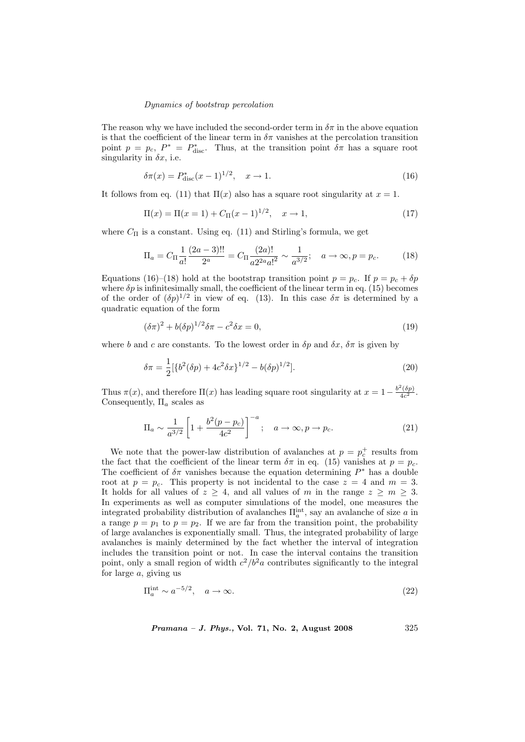The reason why we have included the second-order term in  $\delta \pi$  in the above equation is that the coefficient of the linear term in  $\delta \pi$  vanishes at the percolation transition point  $p = p_c$ ,  $P^* = P^*_{\text{disc}}$ . Thus, at the transition point  $\delta \pi$  has a square root singularity in  $\delta x$ , i.e.

$$
\delta \pi(x) = P_{\text{disc}}^*(x-1)^{1/2}, \quad x \to 1. \tag{16}
$$

It follows from eq. (11) that  $\Pi(x)$  also has a square root singularity at  $x = 1$ .

$$
\Pi(x) = \Pi(x=1) + C_{\Pi}(x-1)^{1/2}, \quad x \to 1,
$$
\n(17)

where  $C_{\Pi}$  is a constant. Using eq. (11) and Stirling's formula, we get

$$
\Pi_a = C_{\Pi} \frac{1}{a!} \frac{(2a-3)!!}{2^a} = C_{\Pi} \frac{(2a)!}{a2^{2a} a!^2} \sim \frac{1}{a^{3/2}}; \quad a \to \infty, p = p_c.
$$
 (18)

Equations (16)–(18) hold at the bootstrap transition point  $p = p_c$ . If  $p = p_c + \delta p$ where  $\delta p$  is infinitesimally small, the coefficient of the linear term in eq. (15) becomes of the order of  $(\delta p)^{1/2}$  in view of eq. (13). In this case  $\delta \pi$  is determined by a quadratic equation of the form

$$
(\delta \pi)^2 + b(\delta p)^{1/2} \delta \pi - c^2 \delta x = 0,\tag{19}
$$

where b and c are constants. To the lowest order in  $\delta p$  and  $\delta x$ ,  $\delta \pi$  is given by

$$
\delta \pi = \frac{1}{2} [\{b^2(\delta p) + 4c^2 \delta x\}^{1/2} - b(\delta p)^{1/2}].
$$
 (20)

Thus  $\pi(x)$ , and therefore  $\Pi(x)$  has leading square root singularity at  $x = 1 - \frac{b^2(\delta p)}{4c^2}$  $\frac{(op)}{4c^2}$ . Consequently,  $\Pi_a$  scales as

$$
\Pi_a \sim \frac{1}{a^{3/2}} \left[ 1 + \frac{b^2 (p - p_c)}{4c^2} \right]^{-a}; \quad a \to \infty, p \to p_c.
$$
 (21)

We note that the power-law distribution of avalanches at  $p = p_c^+$  results from the fact that the coefficient of the linear term  $\delta \pi$  in eq. (15) vanishes at  $p = p_c$ . The coefficient of  $\delta \pi$  vanishes because the equation determining  $P^*$  has a double root at  $p = p_c$ . This property is not incidental to the case  $z = 4$  and  $m = 3$ . It holds for all values of  $z \geq 4$ , and all values of m in the range  $z \geq m \geq 3$ . In experiments as well as computer simulations of the model, one measures the integrated probability distribution of avalanches  $\Pi_a^{\text{int}}$ , say an avalanche of size a in a range  $p = p_1$  to  $p = p_2$ . If we are far from the transition point, the probability of large avalanches is exponentially small. Thus, the integrated probability of large avalanches is mainly determined by the fact whether the interval of integration includes the transition point or not. In case the interval contains the transition point, only a small region of width  $c^2/b^2a$  contributes significantly to the integral for large a, giving us

$$
\Pi_a^{\text{int}} \sim a^{-5/2}, \quad a \to \infty. \tag{22}
$$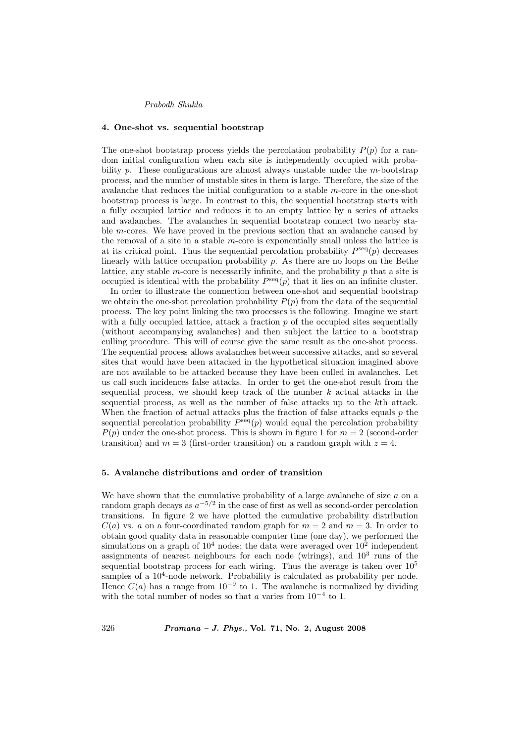#### 4. One-shot vs. sequential bootstrap

The one-shot bootstrap process yields the percolation probability  $P(p)$  for a random initial configuration when each site is independently occupied with probability p. These configurations are almost always unstable under the  $m$ -bootstrap process, and the number of unstable sites in them is large. Therefore, the size of the avalanche that reduces the initial configuration to a stable m-core in the one-shot bootstrap process is large. In contrast to this, the sequential bootstrap starts with a fully occupied lattice and reduces it to an empty lattice by a series of attacks and avalanches. The avalanches in sequential bootstrap connect two nearby stable m-cores. We have proved in the previous section that an avalanche caused by the removal of a site in a stable  $m$ -core is exponentially small unless the lattice is at its critical point. Thus the sequential percolation probability  $P^{\text{seq}}(p)$  decreases linearly with lattice occupation probability p. As there are no loops on the Bethe lattice, any stable  $m$ -core is necessarily infinite, and the probability  $p$  that a site is occupied is identical with the probability  $P^{\text{seq}}(p)$  that it lies on an infinite cluster.

In order to illustrate the connection between one-shot and sequential bootstrap we obtain the one-shot percolation probability  $P(p)$  from the data of the sequential process. The key point linking the two processes is the following. Imagine we start with a fully occupied lattice, attack a fraction  $p$  of the occupied sites sequentially (without accompanying avalanches) and then subject the lattice to a bootstrap culling procedure. This will of course give the same result as the one-shot process. The sequential process allows avalanches between successive attacks, and so several sites that would have been attacked in the hypothetical situation imagined above are not available to be attacked because they have been culled in avalanches. Let us call such incidences false attacks. In order to get the one-shot result from the sequential process, we should keep track of the number  $k$  actual attacks in the sequential process, as well as the number of false attacks up to the kth attack. When the fraction of actual attacks plus the fraction of false attacks equals  $p$  the sequential percolation probability  $P^{\text{seq}}(p)$  would equal the percolation probability  $P(p)$  under the one-shot process. This is shown in figure 1 for  $m = 2$  (second-order transition) and  $m = 3$  (first-order transition) on a random graph with  $z = 4$ .

# 5. Avalanche distributions and order of transition

We have shown that the cumulative probability of a large avalanche of size  $a$  on a random graph decays as  $a^{-5/2}$  in the case of first as well as second-order percolation transitions. In figure 2 we have plotted the cumulative probability distribution  $C(a)$  vs. a on a four-coordinated random graph for  $m = 2$  and  $m = 3$ . In order to obtain good quality data in reasonable computer time (one day), we performed the simulations on a graph of  $10^4$  nodes; the data were averaged over  $10^2$  independent assignments of nearest neighbours for each node (wirings), and  $10<sup>3</sup>$  runs of the sequential bootstrap process for each wiring. Thus the average is taken over  $10^5$ samples of a 10<sup>4</sup>-node network. Probability is calculated as probability per node. Hence  $C(a)$  has a range from  $10^{-9}$  to 1. The avalanche is normalized by dividing with the total number of nodes so that a varies from  $10^{-4}$  to 1.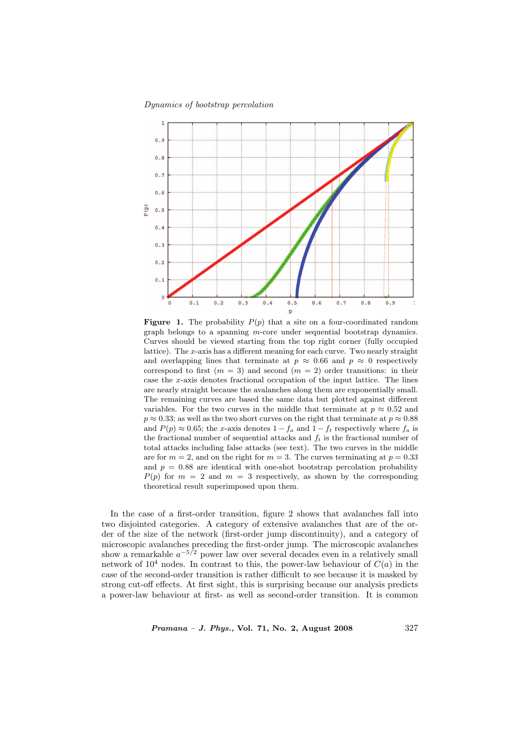

**Figure 1.** The probability  $P(p)$  that a site on a four-coordinated random graph belongs to a spanning m-core under sequential bootstrap dynamics. Curves should be viewed starting from the top right corner (fully occupied lattice). The x-axis has a different meaning for each curve. Two nearly straight and overlapping lines that terminate at  $p \approx 0.66$  and  $p \approx 0$  respectively correspond to first  $(m = 3)$  and second  $(m = 2)$  order transitions: in their case the x-axis denotes fractional occupation of the input lattice. The lines are nearly straight because the avalanches along them are exponentially small. The remaining curves are based the same data but plotted against different variables. For the two curves in the middle that terminate at  $p \approx 0.52$  and  $p \approx 0.33$ ; as well as the two short curves on the right that terminate at  $p \approx 0.88$ and  $P(p) \approx 0.65$ ; the x-axis denotes  $1 - f_a$  and  $1 - f_t$  respectively where  $f_a$  is the fractional number of sequential attacks and  $f_t$  is the fractional number of total attacks including false attacks (see text). The two curves in the middle are for  $m = 2$ , and on the right for  $m = 3$ . The curves terminating at  $p = 0.33$ and  $p = 0.88$  are identical with one-shot bootstrap percolation probability  $P(p)$  for  $m = 2$  and  $m = 3$  respectively, as shown by the corresponding theoretical result superimposed upon them.

In the case of a first-order transition, figure 2 shows that avalanches fall into two disjointed categories. A category of extensive avalanches that are of the order of the size of the network (first-order jump discontinuity), and a category of microscopic avalanches preceding the first-order jump. The microscopic avalanches show a remarkable  $a^{-5/2}$  power law over several decades even in a relatively small network of  $10^4$  nodes. In contrast to this, the power-law behaviour of  $C(a)$  in the case of the second-order transition is rather difficult to see because it is masked by strong cut-off effects. At first sight, this is surprising because our analysis predicts a power-law behaviour at first- as well as second-order transition. It is common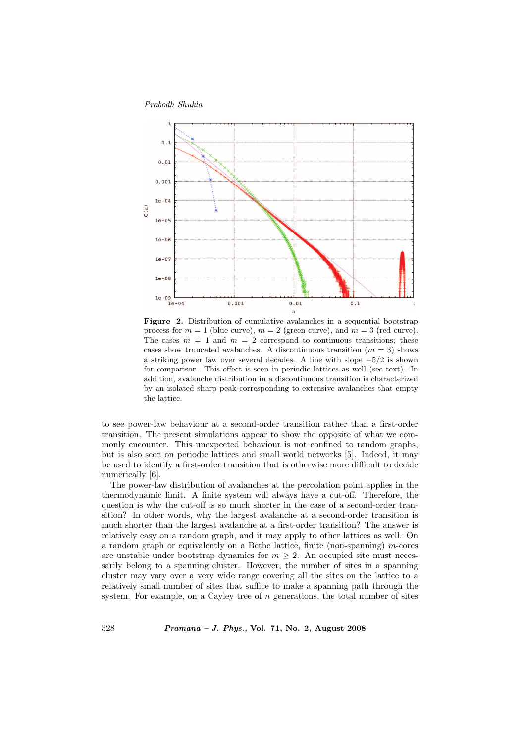

Figure 2. Distribution of cumulative avalanches in a sequential bootstrap process for  $m = 1$  (blue curve),  $m = 2$  (green curve), and  $m = 3$  (red curve). The cases  $m = 1$  and  $m = 2$  correspond to continuous transitions; these cases show truncated avalanches. A discontinuous transition  $(m = 3)$  shows a striking power law over several decades. A line with slope −5/2 is shown for comparison. This effect is seen in periodic lattices as well (see text). In addition, avalanche distribution in a discontinuous transition is characterized by an isolated sharp peak corresponding to extensive avalanches that empty the lattice.

to see power-law behaviour at a second-order transition rather than a first-order transition. The present simulations appear to show the opposite of what we commonly encounter. This unexpected behaviour is not confined to random graphs, but is also seen on periodic lattices and small world networks [5]. Indeed, it may be used to identify a first-order transition that is otherwise more difficult to decide numerically [6].

The power-law distribution of avalanches at the percolation point applies in the thermodynamic limit. A finite system will always have a cut-off. Therefore, the question is why the cut-off is so much shorter in the case of a second-order transition? In other words, why the largest avalanche at a second-order transition is much shorter than the largest avalanche at a first-order transition? The answer is relatively easy on a random graph, and it may apply to other lattices as well. On a random graph or equivalently on a Bethe lattice, finite (non-spanning) m-cores are unstable under bootstrap dynamics for  $m \geq 2$ . An occupied site must necessarily belong to a spanning cluster. However, the number of sites in a spanning cluster may vary over a very wide range covering all the sites on the lattice to a relatively small number of sites that suffice to make a spanning path through the system. For example, on a Cayley tree of  $n$  generations, the total number of sites